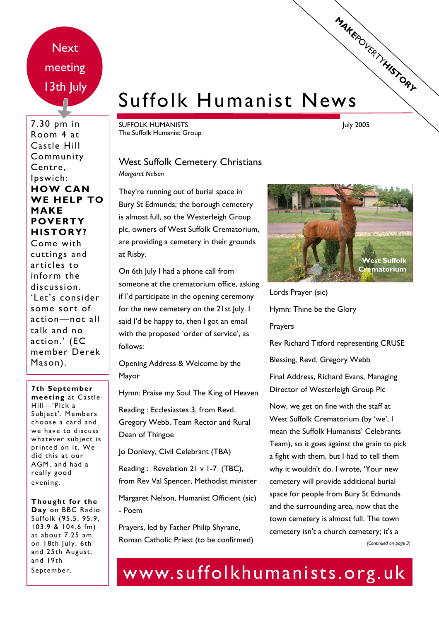**Next** meeting 13th July

7.30 pm in Room 4 at Castle Hill Community Centre, Ipswich: **HOW CAN WE HELP TO MAKE POVERTY HISTORY?**  Come with cuttings and articles to inform the discussion. 'Let's consider some sort of action—not all talk and no action.' (EC member Derek Mason).

**7th September meeting** at Castle Hill—'Pick a Subject'. Members choose a card and we have to discuss whatever subject is printed on it. We did this at our AGM, and had a really good evening.

**Thought for the Day** on BBC Radio Suffolk (95.5, 95.9, 103.9 & 104.6 fm) at about 7.25 am on 18th July, 6th and 25th August, and 19th September.

# Suffolk Humanist News **MAKEPOURRY HISTORY**

SUFFOLK HUMANISTS The Suffolk Humanist Group July 2005

#### West Suffolk Cemetery Christians *Margaret Nelson*

They're running out of burial space in Bury St Edmunds; the borough cemetery is almost full, so the Westerleigh Group plc, owners of West Suffolk Crematorium, are providing a cemetery in their grounds at Risby.

On 6th July I had a phone call from someone at the crematorium office, asking if I'd participate in the opening ceremony for the new cemetery on the 21st July. I said I'd be happy to, then I got an email with the proposed 'order of service', as follows:

Opening Address & Welcome by the Mayor

Hymn: Praise my Soul The King of Heaven

Reading : Ecclesiastes 3, from Revd. Gregory Webb, Team Rector and Rural Dean of Thingoe

Jo Donlevy, Civil Celebrant (TBA)

Reading : Revelation 21 v 1-7 (TBC), from Rev Val Spencer, Methodist minister

Margaret Nelson, Humanist Officient (sic) - Poem

Prayers, led by Father Philip Shyrane, Roman Catholic Priest (to be confirmed)



Lords Prayer (sic) Hymn: Thine be the Glory Prayers Rev Richard Titford representing CRUSE

Blessing, Revd. Gregory Webb

Final Address, Richard Evans, Managing Director of Westerleigh Group Plc

Now, we get on fine with the staff at West Suffolk Crematorium (by 'we', I mean the Suffolk Humanists' Celebrants Team), so it goes against the grain to pick a fight with them, but I had to tell them why it wouldn't do. I wrote, 'Your new cemetery will provide additional burial space for people from Bury St Edmunds and the surrounding area, now that the town cemetery is almost full. The town cemetery isn't a church cemetery; it's a *(Continued on page 3)* 

## www.suffolkhumanists.org.uk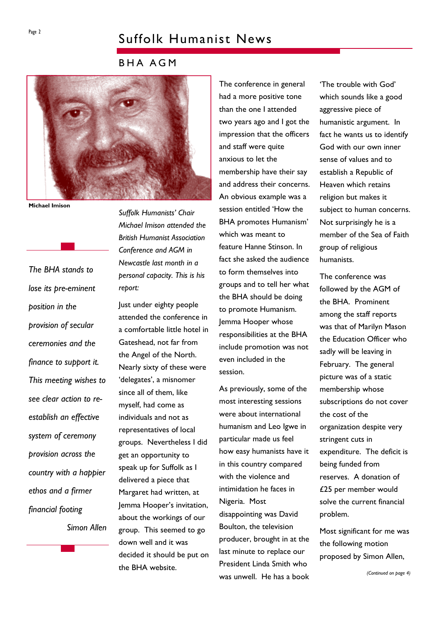### Suffolk Humanist News

BHA AGM



**Michael Imison** 

*The BHA stands to lose its pre-eminent position in the provision of secular ceremonies and the finance to support it. This meeting wishes to see clear action to reestablish an effective system of ceremony provision across the country with a happier ethos and a firmer financial footing Simon Allen*  *Suffolk Humanists' Chair Michael Imison attended the British Humanist Association Conference and AGM in Newcastle last month in a personal capacity. This is his report:* 

Just under eighty people attended the conference in a comfortable little hotel in Gateshead, not far from the Angel of the North. Nearly sixty of these were 'delegates', a misnomer since all of them, like myself, had come as individuals and not as representatives of local groups. Nevertheless I did get an opportunity to speak up for Suffolk as I delivered a piece that Margaret had written, at Jemma Hooper's invitation, about the workings of our group. This seemed to go down well and it was decided it should be put on the BHA website.

The conference in general had a more positive tone than the one I attended two years ago and I got the impression that the officers and staff were quite anxious to let the membership have their say and address their concerns. An obvious example was a session entitled 'How the BHA promotes Humanism' which was meant to feature Hanne Stinson. In fact she asked the audience to form themselves into groups and to tell her what the BHA should be doing to promote Humanism. Jemma Hooper whose responsibilities at the BHA include promotion was not even included in the session.

As previously, some of the most interesting sessions were about international humanism and Leo Igwe in particular made us feel how easy humanists have it in this country compared with the violence and intimidation he faces in Nigeria. Most disappointing was David Boulton, the television producer, brought in at the last minute to replace our President Linda Smith who was unwell. He has a book 'The trouble with God' which sounds like a good aggressive piece of humanistic argument. In fact he wants us to identify God with our own inner sense of values and to establish a Republic of Heaven which retains religion but makes it subject to human concerns. Not surprisingly he is a member of the Sea of Faith group of religious humanists.

The conference was followed by the AGM of the BHA. Prominent among the staff reports was that of Marilyn Mason the Education Officer who sadly will be leaving in February. The general picture was of a static membership whose subscriptions do not cover the cost of the organization despite very stringent cuts in expenditure. The deficit is being funded from reserves. A donation of £25 per member would solve the current financial problem.

Most significant for me was the following motion proposed by Simon Allen,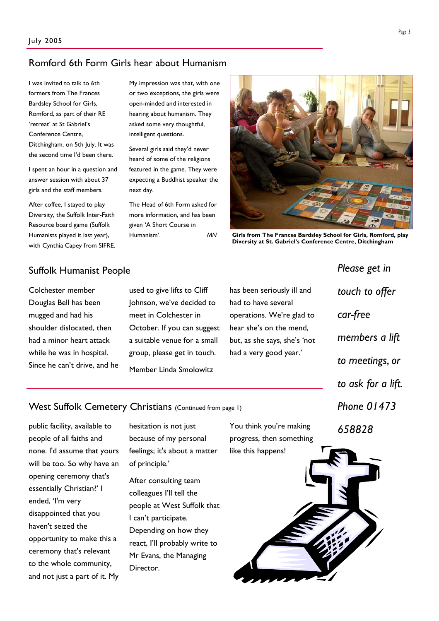#### Romford 6th Form Girls hear about Humanism

I was invited to talk to 6th formers from The Frances Bardsley School for Girls, Romford, as part of their RE 'retreat' at St Gabriel's Conference Centre, Ditchingham, on 5th July. It was the second time I'd been there.

I spent an hour in a question and answer session with about 37 girls and the staff members.

After coffee, I stayed to play Diversity, the Suffolk Inter-Faith Resource board game (Suffolk Humanists played it last year), with Cynthia Capey from SIFRE.

#### Suffolk Humanist People

Colchester member Douglas Bell has been mugged and had his shoulder dislocated, then had a minor heart attack while he was in hospital. Since he can't drive, and he used to give lifts to Cliff Johnson, we've decided to meet in Colchester in October. If you can suggest a suitable venue for a small group, please get in touch. Member Linda Smolowitz

My impression was that, with one or two exceptions, the girls were open-minded and interested in hearing about humanism. They asked some very thoughtful, intelligent questions.

Several girls said they'd never heard of some of the religions featured in the game. They were expecting a Buddhist speaker the

The Head of 6th Form asked for more information, and has been given 'A Short Course in Humanism'. *MN* 

next day.

has been seriously ill and had to have several operations. We're glad to hear she's on the mend, but, as she says, she's 'not had a very good year.'

*Please get in touch to offer car-free members a lift to meetings, or to ask for a lift. Phone 01473 658828* 

West Suffolk Cemetery Christians (Continued from page 1)

public facility, available to people of all faiths and none. I'd assume that yours will be too. So why have an opening ceremony that's essentially Christian?' I ended, 'I'm very disappointed that you haven't seized the opportunity to make this a ceremony that's relevant to the whole community, and not just a part of it. My

hesitation is not just because of my personal feelings; it's about a matter of principle.'

After consulting team colleagues I'll tell the people at West Suffolk that I can't participate. Depending on how they react, I'll probably write to Mr Evans, the Managing Director.

You think you're making progress, then something like this happens!





**Girls from The Frances Bardsley School for Girls, Romford, play Diversity at St. Gabriel's Conference Centre, Ditchingham**